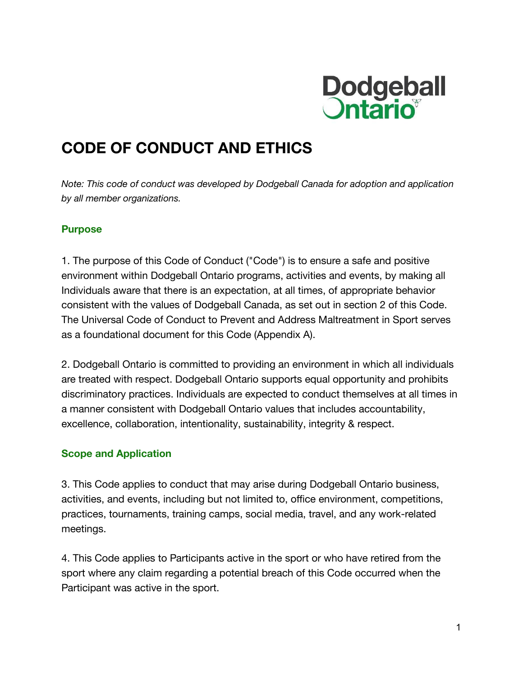

# **CODE OF CONDUCT AND ETHICS**

*Note: This code of conduct was developed by Dodgeball Canada for adoption and application by all member organizations.*

## **Purpose**

1. The purpose of this Code of Conduct ("Code") is to ensure a safe and positive environment within Dodgeball Ontario programs, activities and events, by making all Individuals aware that there is an expectation, at all times, of appropriate behavior consistent with the values of Dodgeball Canada, as set out in section 2 of this Code. The Universal Code of Conduct to Prevent and Address Maltreatment in Sport serves as a foundational document for this Code (Appendix A).

2. Dodgeball Ontario is committed to providing an environment in which all individuals are treated with respect. Dodgeball Ontario supports equal opportunity and prohibits discriminatory practices. Individuals are expected to conduct themselves at all times in a manner consistent with Dodgeball Ontario values that includes accountability, excellence, collaboration, intentionality, sustainability, integrity & respect.

## **Scope and Application**

3. This Code applies to conduct that may arise during Dodgeball Ontario business, activities, and events, including but not limited to, office environment, competitions, practices, tournaments, training camps, social media, travel, and any work-related meetings.

4. This Code applies to Participants active in the sport or who have retired from the sport where any claim regarding a potential breach of this Code occurred when the Participant was active in the sport.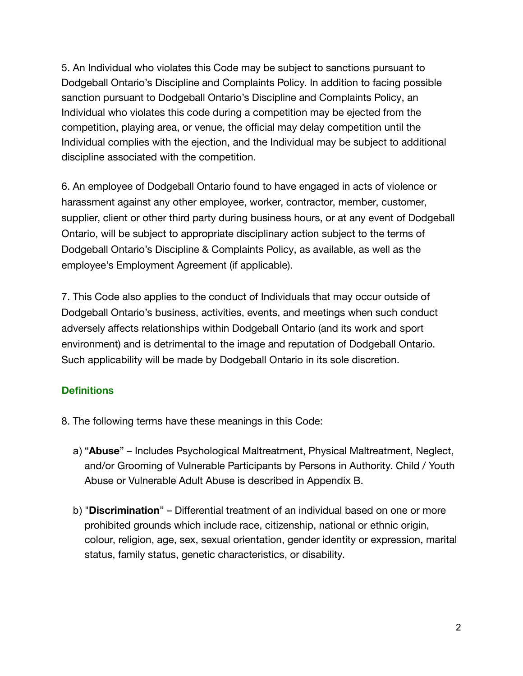5. An Individual who violates this Code may be subject to sanctions pursuant to Dodgeball Ontario's Discipline and Complaints Policy. In addition to facing possible sanction pursuant to Dodgeball Ontario's Discipline and Complaints Policy, an Individual who violates this code during a competition may be ejected from the competition, playing area, or venue, the official may delay competition until the Individual complies with the ejection, and the Individual may be subject to additional discipline associated with the competition.

6. An employee of Dodgeball Ontario found to have engaged in acts of violence or harassment against any other employee, worker, contractor, member, customer, supplier, client or other third party during business hours, or at any event of Dodgeball Ontario, will be subject to appropriate disciplinary action subject to the terms of Dodgeball Ontario's Discipline & Complaints Policy, as available, as well as the employee's Employment Agreement (if applicable).

7. This Code also applies to the conduct of Individuals that may occur outside of Dodgeball Ontario's business, activities, events, and meetings when such conduct adversely affects relationships within Dodgeball Ontario (and its work and sport environment) and is detrimental to the image and reputation of Dodgeball Ontario. Such applicability will be made by Dodgeball Ontario in its sole discretion.

# **Definitions**

- 8. The following terms have these meanings in this Code:
	- a) "**Abuse**" Includes Psychological Maltreatment, Physical Maltreatment, Neglect, and/or Grooming of Vulnerable Participants by Persons in Authority. Child / Youth Abuse or Vulnerable Adult Abuse is described in Appendix B.
	- b) "**Discrimination**" Differential treatment of an individual based on one or more prohibited grounds which include race, citizenship, national or ethnic origin, colour, religion, age, sex, sexual orientation, gender identity or expression, marital status, family status, genetic characteristics, or disability.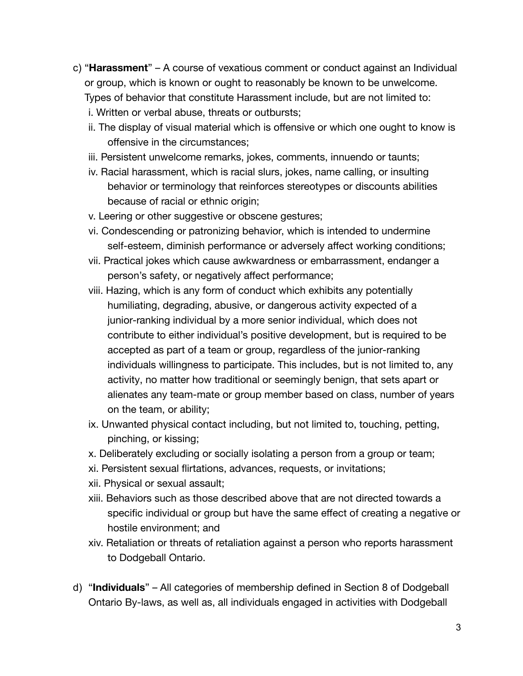- c) "**Harassment**" A course of vexatious comment or conduct against an Individual or group, which is known or ought to reasonably be known to be unwelcome. Types of behavior that constitute Harassment include, but are not limited to: i. Written or verbal abuse, threats or outbursts;
	- ii. The display of visual material which is offensive or which one ought to know is offensive in the circumstances;
	- iii. Persistent unwelcome remarks, jokes, comments, innuendo or taunts;
	- iv. Racial harassment, which is racial slurs, jokes, name calling, or insulting behavior or terminology that reinforces stereotypes or discounts abilities because of racial or ethnic origin;
	- v. Leering or other suggestive or obscene gestures;
	- vi. Condescending or patronizing behavior, which is intended to undermine self-esteem, diminish performance or adversely affect working conditions;
	- vii. Practical jokes which cause awkwardness or embarrassment, endanger a person's safety, or negatively affect performance;
	- viii. Hazing, which is any form of conduct which exhibits any potentially humiliating, degrading, abusive, or dangerous activity expected of a junior-ranking individual by a more senior individual, which does not contribute to either individual's positive development, but is required to be accepted as part of a team or group, regardless of the junior-ranking individuals willingness to participate. This includes, but is not limited to, any activity, no matter how traditional or seemingly benign, that sets apart or alienates any team-mate or group member based on class, number of years on the team, or ability;
	- ix. Unwanted physical contact including, but not limited to, touching, petting, pinching, or kissing;
	- x. Deliberately excluding or socially isolating a person from a group or team;
	- xi. Persistent sexual flirtations, advances, requests, or invitations;
	- xii. Physical or sexual assault;
	- xiii. Behaviors such as those described above that are not directed towards a specific individual or group but have the same effect of creating a negative or hostile environment; and
	- xiv. Retaliation or threats of retaliation against a person who reports harassment to Dodgeball Ontario.
- d) "**Individuals**" All categories of membership defined in Section 8 of Dodgeball Ontario By-laws, as well as, all individuals engaged in activities with Dodgeball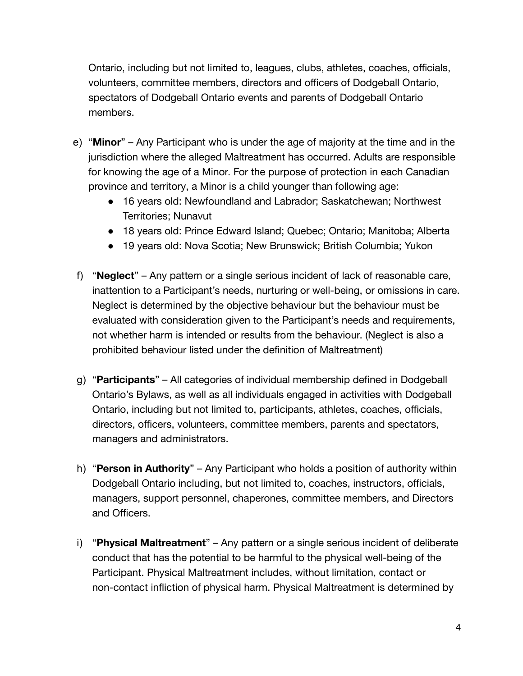Ontario, including but not limited to, leagues, clubs, athletes, coaches, officials, volunteers, committee members, directors and officers of Dodgeball Ontario, spectators of Dodgeball Ontario events and parents of Dodgeball Ontario members.

- e) "**Minor**" Any Participant who is under the age of majority at the time and in the jurisdiction where the alleged Maltreatment has occurred. Adults are responsible for knowing the age of a Minor. For the purpose of protection in each Canadian province and territory, a Minor is a child younger than following age:
	- 16 years old: Newfoundland and Labrador; Saskatchewan; Northwest Territories; Nunavut
	- 18 years old: Prince Edward Island; Quebec; Ontario; Manitoba; Alberta
	- 19 years old: Nova Scotia; New Brunswick; British Columbia; Yukon
- f) "**Neglect**" Any pattern or a single serious incident of lack of reasonable care, inattention to a Participant's needs, nurturing or well-being, or omissions in care. Neglect is determined by the objective behaviour but the behaviour must be evaluated with consideration given to the Participant's needs and requirements, not whether harm is intended or results from the behaviour. (Neglect is also a prohibited behaviour listed under the definition of Maltreatment)
- g) "**Participants**" All categories of individual membership defined in Dodgeball Ontario's Bylaws, as well as all individuals engaged in activities with Dodgeball Ontario, including but not limited to, participants, athletes, coaches, officials, directors, officers, volunteers, committee members, parents and spectators, managers and administrators.
- h) "**Person in Authority**" Any Participant who holds a position of authority within Dodgeball Ontario including, but not limited to, coaches, instructors, officials, managers, support personnel, chaperones, committee members, and Directors and Officers.
- i) "**Physical Maltreatment**" Any pattern or a single serious incident of deliberate conduct that has the potential to be harmful to the physical well-being of the Participant. Physical Maltreatment includes, without limitation, contact or non-contact infliction of physical harm. Physical Maltreatment is determined by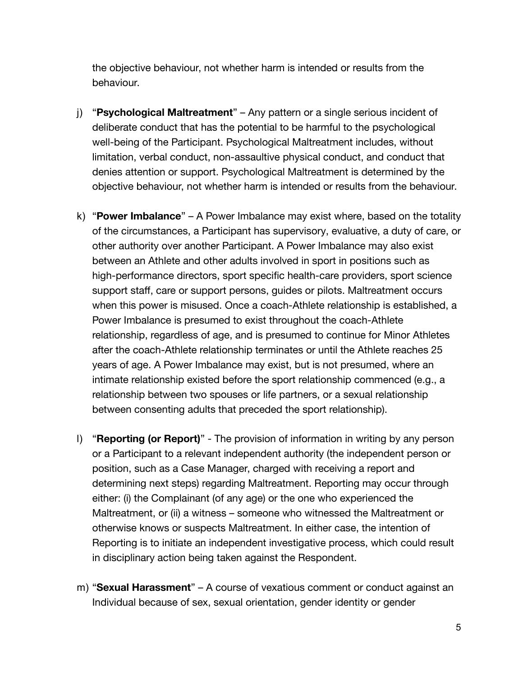the objective behaviour, not whether harm is intended or results from the behaviour.

- j) "**Psychological Maltreatment**" Any pattern or a single serious incident of deliberate conduct that has the potential to be harmful to the psychological well-being of the Participant. Psychological Maltreatment includes, without limitation, verbal conduct, non-assaultive physical conduct, and conduct that denies attention or support. Psychological Maltreatment is determined by the objective behaviour, not whether harm is intended or results from the behaviour.
- k) "**Power Imbalance**" A Power Imbalance may exist where, based on the totality of the circumstances, a Participant has supervisory, evaluative, a duty of care, or other authority over another Participant. A Power Imbalance may also exist between an Athlete and other adults involved in sport in positions such as high-performance directors, sport specific health-care providers, sport science support staff, care or support persons, guides or pilots. Maltreatment occurs when this power is misused. Once a coach-Athlete relationship is established, a Power Imbalance is presumed to exist throughout the coach-Athlete relationship, regardless of age, and is presumed to continue for Minor Athletes after the coach-Athlete relationship terminates or until the Athlete reaches 25 years of age. A Power Imbalance may exist, but is not presumed, where an intimate relationship existed before the sport relationship commenced (e.g., a relationship between two spouses or life partners, or a sexual relationship between consenting adults that preceded the sport relationship).
- l) "**Reporting (or Report)**" The provision of information in writing by any person or a Participant to a relevant independent authority (the independent person or position, such as a Case Manager, charged with receiving a report and determining next steps) regarding Maltreatment. Reporting may occur through either: (i) the Complainant (of any age) or the one who experienced the Maltreatment, or (ii) a witness – someone who witnessed the Maltreatment or otherwise knows or suspects Maltreatment. In either case, the intention of Reporting is to initiate an independent investigative process, which could result in disciplinary action being taken against the Respondent.
- m) "**Sexual Harassment**" A course of vexatious comment or conduct against an Individual because of sex, sexual orientation, gender identity or gender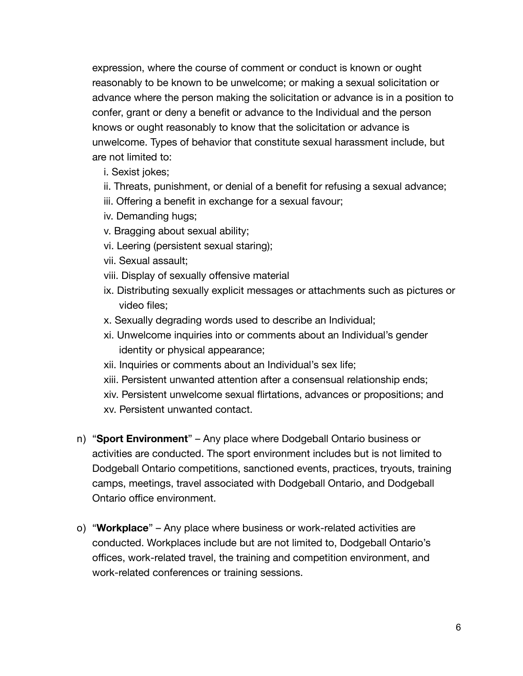expression, where the course of comment or conduct is known or ought reasonably to be known to be unwelcome; or making a sexual solicitation or advance where the person making the solicitation or advance is in a position to confer, grant or deny a benefit or advance to the Individual and the person knows or ought reasonably to know that the solicitation or advance is unwelcome. Types of behavior that constitute sexual harassment include, but are not limited to:

- i. Sexist jokes;
- ii. Threats, punishment, or denial of a benefit for refusing a sexual advance;
- iii. Offering a benefit in exchange for a sexual favour;
- iv. Demanding hugs;
- v. Bragging about sexual ability;
- vi. Leering (persistent sexual staring);
- vii. Sexual assault;
- viii. Display of sexually offensive material
- ix. Distributing sexually explicit messages or attachments such as pictures or video files;
- x. Sexually degrading words used to describe an Individual;
- xi. Unwelcome inquiries into or comments about an Individual's gender identity or physical appearance;
- xii. Inquiries or comments about an Individual's sex life;
- xiii. Persistent unwanted attention after a consensual relationship ends;
- xiv. Persistent unwelcome sexual flirtations, advances or propositions; and
- xv. Persistent unwanted contact.
- n) "**Sport Environment**" Any place where Dodgeball Ontario business or activities are conducted. The sport environment includes but is not limited to Dodgeball Ontario competitions, sanctioned events, practices, tryouts, training camps, meetings, travel associated with Dodgeball Ontario, and Dodgeball Ontario office environment.
- o) "**Workplace**" Any place where business or work-related activities are conducted. Workplaces include but are not limited to, Dodgeball Ontario's offices, work-related travel, the training and competition environment, and work-related conferences or training sessions.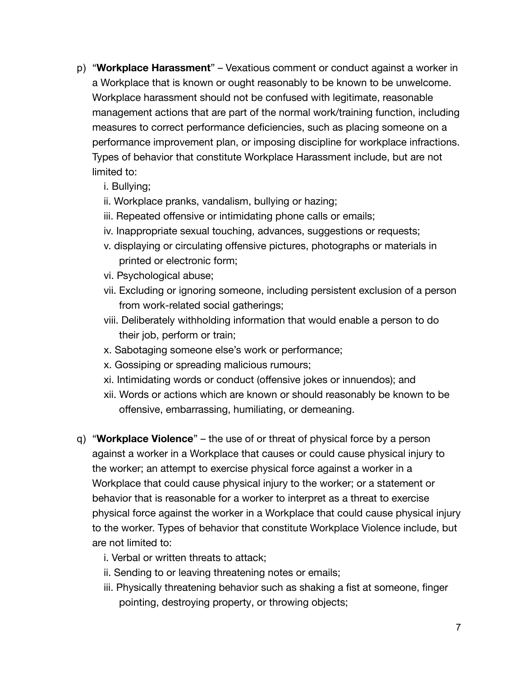- p) "**Workplace Harassment**" Vexatious comment or conduct against a worker in a Workplace that is known or ought reasonably to be known to be unwelcome. Workplace harassment should not be confused with legitimate, reasonable management actions that are part of the normal work/training function, including measures to correct performance deficiencies, such as placing someone on a performance improvement plan, or imposing discipline for workplace infractions. Types of behavior that constitute Workplace Harassment include, but are not limited to:
	- i. Bullying;
	- ii. Workplace pranks, vandalism, bullying or hazing;
	- iii. Repeated offensive or intimidating phone calls or emails;
	- iv. Inappropriate sexual touching, advances, suggestions or requests;
	- v. displaying or circulating offensive pictures, photographs or materials in printed or electronic form;
	- vi. Psychological abuse;
	- vii. Excluding or ignoring someone, including persistent exclusion of a person from work-related social gatherings;
	- viii. Deliberately withholding information that would enable a person to do their job, perform or train;
	- x. Sabotaging someone else's work or performance;
	- x. Gossiping or spreading malicious rumours;
	- xi. Intimidating words or conduct (offensive jokes or innuendos); and
	- xii. Words or actions which are known or should reasonably be known to be offensive, embarrassing, humiliating, or demeaning.
- q) "**Workplace Violence**" the use of or threat of physical force by a person against a worker in a Workplace that causes or could cause physical injury to the worker; an attempt to exercise physical force against a worker in a Workplace that could cause physical injury to the worker; or a statement or behavior that is reasonable for a worker to interpret as a threat to exercise physical force against the worker in a Workplace that could cause physical injury to the worker. Types of behavior that constitute Workplace Violence include, but are not limited to:
	- i. Verbal or written threats to attack;
	- ii. Sending to or leaving threatening notes or emails;
	- iii. Physically threatening behavior such as shaking a fist at someone, finger pointing, destroying property, or throwing objects;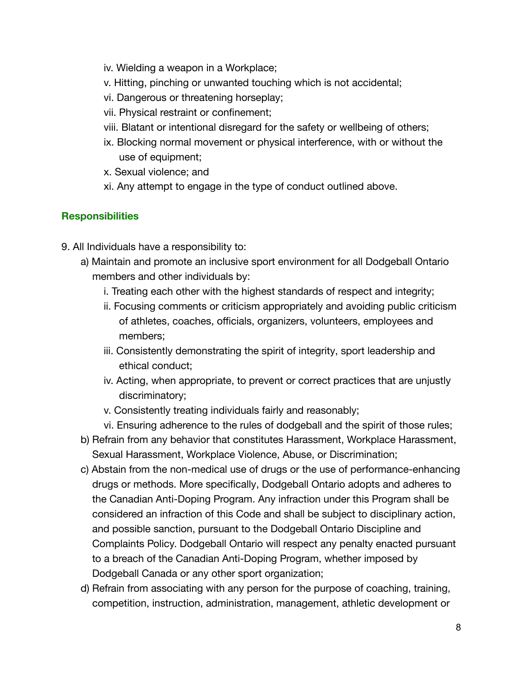- iv. Wielding a weapon in a Workplace;
- v. Hitting, pinching or unwanted touching which is not accidental;
- vi. Dangerous or threatening horseplay;
- vii. Physical restraint or confinement;
- viii. Blatant or intentional disregard for the safety or wellbeing of others;
- ix. Blocking normal movement or physical interference, with or without the use of equipment;
- x. Sexual violence; and
- xi. Any attempt to engage in the type of conduct outlined above.

# **Responsibilities**

- 9. All Individuals have a responsibility to:
	- a) Maintain and promote an inclusive sport environment for all Dodgeball Ontario members and other individuals by:
		- i. Treating each other with the highest standards of respect and integrity;
		- ii. Focusing comments or criticism appropriately and avoiding public criticism of athletes, coaches, officials, organizers, volunteers, employees and members;
		- iii. Consistently demonstrating the spirit of integrity, sport leadership and ethical conduct;
		- iv. Acting, when appropriate, to prevent or correct practices that are unjustly discriminatory;
		- v. Consistently treating individuals fairly and reasonably;
		- vi. Ensuring adherence to the rules of dodgeball and the spirit of those rules;
	- b) Refrain from any behavior that constitutes Harassment, Workplace Harassment, Sexual Harassment, Workplace Violence, Abuse, or Discrimination;
	- c) Abstain from the non-medical use of drugs or the use of performance-enhancing drugs or methods. More specifically, Dodgeball Ontario adopts and adheres to the Canadian Anti-Doping Program. Any infraction under this Program shall be considered an infraction of this Code and shall be subject to disciplinary action, and possible sanction, pursuant to the Dodgeball Ontario Discipline and Complaints Policy. Dodgeball Ontario will respect any penalty enacted pursuant to a breach of the Canadian Anti-Doping Program, whether imposed by Dodgeball Canada or any other sport organization;
	- d) Refrain from associating with any person for the purpose of coaching, training, competition, instruction, administration, management, athletic development or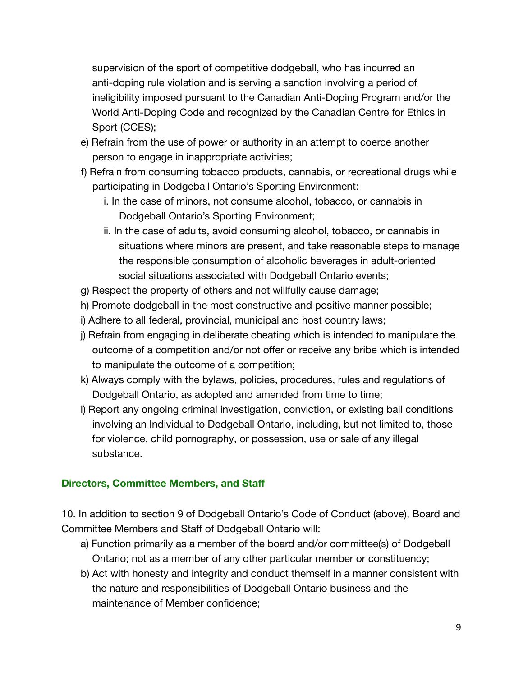supervision of the sport of competitive dodgeball, who has incurred an anti-doping rule violation and is serving a sanction involving a period of ineligibility imposed pursuant to the Canadian Anti-Doping Program and/or the World Anti-Doping Code and recognized by the Canadian Centre for Ethics in Sport (CCES);

- e) Refrain from the use of power or authority in an attempt to coerce another person to engage in inappropriate activities;
- f) Refrain from consuming tobacco products, cannabis, or recreational drugs while participating in Dodgeball Ontario's Sporting Environment:
	- i. In the case of minors, not consume alcohol, tobacco, or cannabis in Dodgeball Ontario's Sporting Environment;
	- ii. In the case of adults, avoid consuming alcohol, tobacco, or cannabis in situations where minors are present, and take reasonable steps to manage the responsible consumption of alcoholic beverages in adult-oriented social situations associated with Dodgeball Ontario events;
- g) Respect the property of others and not willfully cause damage;
- h) Promote dodgeball in the most constructive and positive manner possible;
- i) Adhere to all federal, provincial, municipal and host country laws;
- j) Refrain from engaging in deliberate cheating which is intended to manipulate the outcome of a competition and/or not offer or receive any bribe which is intended to manipulate the outcome of a competition;
- k) Always comply with the bylaws, policies, procedures, rules and regulations of Dodgeball Ontario, as adopted and amended from time to time;
- l) Report any ongoing criminal investigation, conviction, or existing bail conditions involving an Individual to Dodgeball Ontario, including, but not limited to, those for violence, child pornography, or possession, use or sale of any illegal substance.

## **Directors, Committee Members, and Staff**

10. In addition to section 9 of Dodgeball Ontario's Code of Conduct (above), Board and Committee Members and Staff of Dodgeball Ontario will:

- a) Function primarily as a member of the board and/or committee(s) of Dodgeball Ontario; not as a member of any other particular member or constituency;
- b) Act with honesty and integrity and conduct themself in a manner consistent with the nature and responsibilities of Dodgeball Ontario business and the maintenance of Member confidence;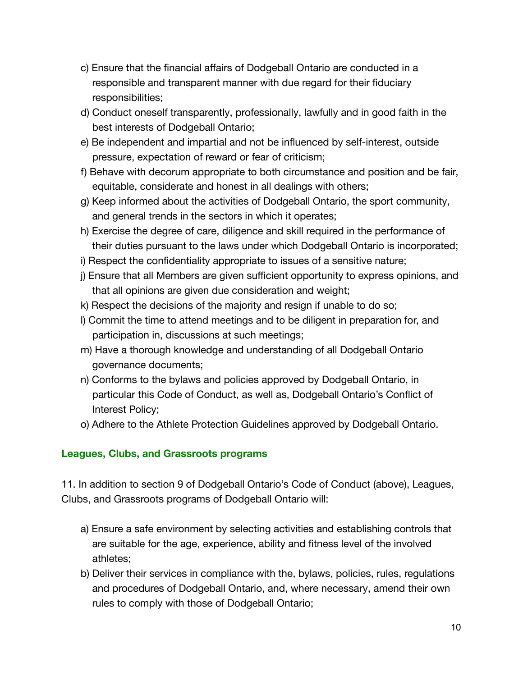- c) Ensure that the financial affairs of Dodgeball Ontario are conducted in a responsible and transparent manner with due regard for their fiduciary responsibilities;
- d) Conduct oneself transparently, professionally, lawfully and in good faith in the best interests of Dodgeball Ontario;
- e) Be independent and impartial and not be influenced by self-interest, outside pressure, expectation of reward or fear of criticism;
- f) Behave with decorum appropriate to both circumstance and position and be fair, equitable, considerate and honest in all dealings with others;
- g) Keep informed about the activities of Dodgeball Ontario, the sport community, and general trends in the sectors in which it operates;
- h) Exercise the degree of care, diligence and skill required in the performance of their duties pursuant to the laws under which Dodgeball Ontario is incorporated;
- i) Respect the confidentiality appropriate to issues of a sensitive nature;
- j) Ensure that all Members are given sufficient opportunity to express opinions, and that all opinions are given due consideration and weight;
- k) Respect the decisions of the majority and resign if unable to do so;
- l) Commit the time to attend meetings and to be diligent in preparation for, and participation in, discussions at such meetings;
- m) Have a thorough knowledge and understanding of all Dodgeball Ontario governance documents;
- n) Conforms to the bylaws and policies approved by Dodgeball Ontario, in particular this Code of Conduct, as well as, Dodgeball Ontario's Conflict of Interest Policy;
- o) Adhere to the Athlete Protection Guidelines approved by Dodgeball Ontario.

# **Leagues, Clubs, and Grassroots programs**

11. In addition to section 9 of Dodgeball Ontario's Code of Conduct (above), Leagues, Clubs, and Grassroots programs of Dodgeball Ontario will:

- a) Ensure a safe environment by selecting activities and establishing controls that are suitable for the age, experience, ability and fitness level of the involved athletes;
- b) Deliver their services in compliance with the, bylaws, policies, rules, regulations and procedures of Dodgeball Ontario, and, where necessary, amend their own rules to comply with those of Dodgeball Ontario;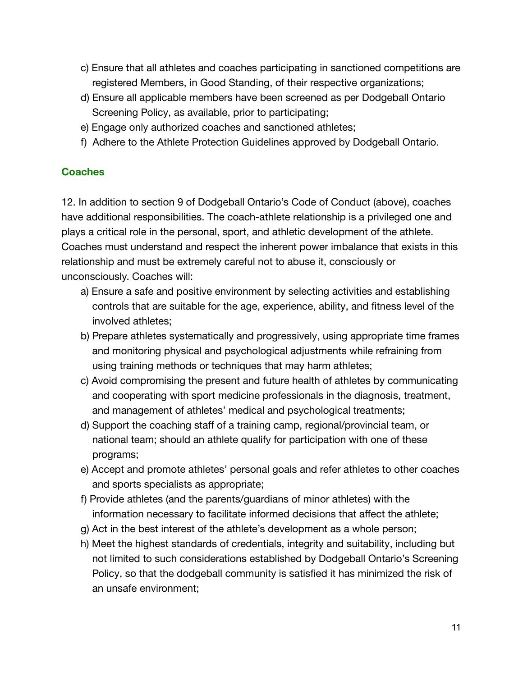- c) Ensure that all athletes and coaches participating in sanctioned competitions are registered Members, in Good Standing, of their respective organizations;
- d) Ensure all applicable members have been screened as per Dodgeball Ontario Screening Policy, as available, prior to participating;
- e) Engage only authorized coaches and sanctioned athletes;
- f) Adhere to the Athlete Protection Guidelines approved by Dodgeball Ontario.

## **Coaches**

12. In addition to section 9 of Dodgeball Ontario's Code of Conduct (above), coaches have additional responsibilities. The coach-athlete relationship is a privileged one and plays a critical role in the personal, sport, and athletic development of the athlete. Coaches must understand and respect the inherent power imbalance that exists in this relationship and must be extremely careful not to abuse it, consciously or unconsciously. Coaches will:

- a) Ensure a safe and positive environment by selecting activities and establishing controls that are suitable for the age, experience, ability, and fitness level of the involved athletes;
- b) Prepare athletes systematically and progressively, using appropriate time frames and monitoring physical and psychological adjustments while refraining from using training methods or techniques that may harm athletes;
- c) Avoid compromising the present and future health of athletes by communicating and cooperating with sport medicine professionals in the diagnosis, treatment, and management of athletes' medical and psychological treatments;
- d) Support the coaching staff of a training camp, regional/provincial team, or national team; should an athlete qualify for participation with one of these programs;
- e) Accept and promote athletes' personal goals and refer athletes to other coaches and sports specialists as appropriate;
- f) Provide athletes (and the parents/guardians of minor athletes) with the information necessary to facilitate informed decisions that affect the athlete;
- g) Act in the best interest of the athlete's development as a whole person;
- h) Meet the highest standards of credentials, integrity and suitability, including but not limited to such considerations established by Dodgeball Ontario's Screening Policy, so that the dodgeball community is satisfied it has minimized the risk of an unsafe environment;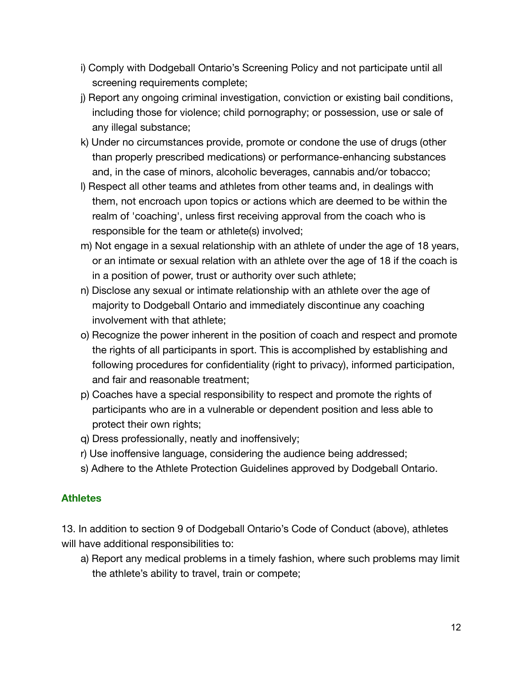- i) Comply with Dodgeball Ontario's Screening Policy and not participate until all screening requirements complete;
- j) Report any ongoing criminal investigation, conviction or existing bail conditions, including those for violence; child pornography; or possession, use or sale of any illegal substance;
- k) Under no circumstances provide, promote or condone the use of drugs (other than properly prescribed medications) or performance-enhancing substances and, in the case of minors, alcoholic beverages, cannabis and/or tobacco;
- l) Respect all other teams and athletes from other teams and, in dealings with them, not encroach upon topics or actions which are deemed to be within the realm of 'coaching', unless first receiving approval from the coach who is responsible for the team or athlete(s) involved;
- m) Not engage in a sexual relationship with an athlete of under the age of 18 years, or an intimate or sexual relation with an athlete over the age of 18 if the coach is in a position of power, trust or authority over such athlete;
- n) Disclose any sexual or intimate relationship with an athlete over the age of majority to Dodgeball Ontario and immediately discontinue any coaching involvement with that athlete;
- o) Recognize the power inherent in the position of coach and respect and promote the rights of all participants in sport. This is accomplished by establishing and following procedures for confidentiality (right to privacy), informed participation, and fair and reasonable treatment;
- p) Coaches have a special responsibility to respect and promote the rights of participants who are in a vulnerable or dependent position and less able to protect their own rights;
- q) Dress professionally, neatly and inoffensively;
- r) Use inoffensive language, considering the audience being addressed;
- s) Adhere to the Athlete Protection Guidelines approved by Dodgeball Ontario.

#### **Athletes**

13. In addition to section 9 of Dodgeball Ontario's Code of Conduct (above), athletes will have additional responsibilities to:

a) Report any medical problems in a timely fashion, where such problems may limit the athlete's ability to travel, train or compete;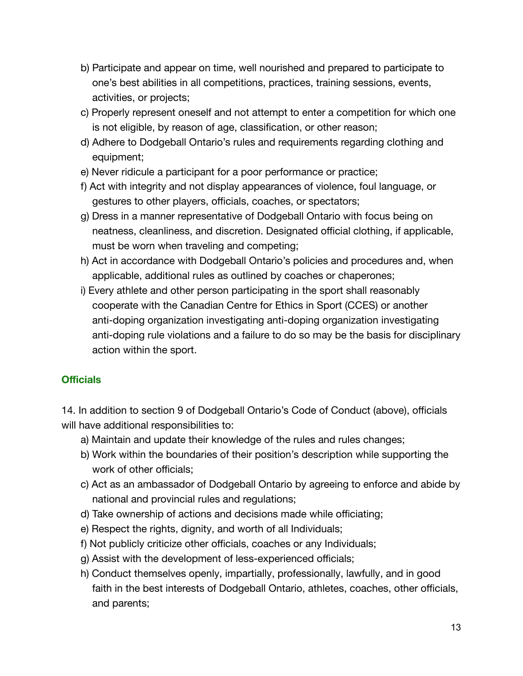- b) Participate and appear on time, well nourished and prepared to participate to one's best abilities in all competitions, practices, training sessions, events, activities, or projects;
- c) Properly represent oneself and not attempt to enter a competition for which one is not eligible, by reason of age, classification, or other reason;
- d) Adhere to Dodgeball Ontario's rules and requirements regarding clothing and equipment;
- e) Never ridicule a participant for a poor performance or practice;
- f) Act with integrity and not display appearances of violence, foul language, or gestures to other players, officials, coaches, or spectators;
- g) Dress in a manner representative of Dodgeball Ontario with focus being on neatness, cleanliness, and discretion. Designated official clothing, if applicable, must be worn when traveling and competing;
- h) Act in accordance with Dodgeball Ontario's policies and procedures and, when applicable, additional rules as outlined by coaches or chaperones;
- i) Every athlete and other person participating in the sport shall reasonably cooperate with the Canadian Centre for Ethics in Sport (CCES) or another anti-doping organization investigating anti-doping organization investigating anti-doping rule violations and a failure to do so may be the basis for disciplinary action within the sport.

# **Officials**

14. In addition to section 9 of Dodgeball Ontario's Code of Conduct (above), officials will have additional responsibilities to:

- a) Maintain and update their knowledge of the rules and rules changes;
- b) Work within the boundaries of their position's description while supporting the work of other officials;
- c) Act as an ambassador of Dodgeball Ontario by agreeing to enforce and abide by national and provincial rules and regulations;
- d) Take ownership of actions and decisions made while officiating;
- e) Respect the rights, dignity, and worth of all Individuals;
- f) Not publicly criticize other officials, coaches or any Individuals;
- g) Assist with the development of less-experienced officials;
- h) Conduct themselves openly, impartially, professionally, lawfully, and in good faith in the best interests of Dodgeball Ontario, athletes, coaches, other officials, and parents;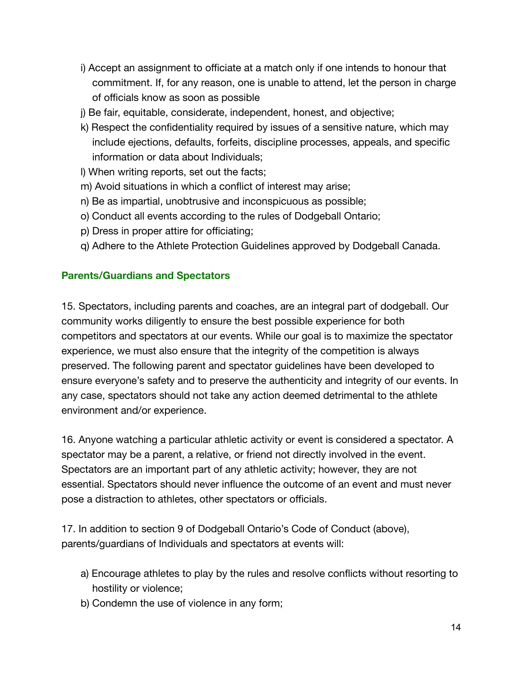- i) Accept an assignment to officiate at a match only if one intends to honour that commitment. If, for any reason, one is unable to attend, let the person in charge of officials know as soon as possible
- j) Be fair, equitable, considerate, independent, honest, and objective;
- k) Respect the confidentiality required by issues of a sensitive nature, which may include ejections, defaults, forfeits, discipline processes, appeals, and specific information or data about Individuals;
- l) When writing reports, set out the facts;
- m) Avoid situations in which a conflict of interest may arise;
- n) Be as impartial, unobtrusive and inconspicuous as possible;
- o) Conduct all events according to the rules of Dodgeball Ontario;
- p) Dress in proper attire for officiating;
- q) Adhere to the Athlete Protection Guidelines approved by Dodgeball Canada.

#### **Parents/Guardians and Spectators**

15. Spectators, including parents and coaches, are an integral part of dodgeball. Our community works diligently to ensure the best possible experience for both competitors and spectators at our events. While our goal is to maximize the spectator experience, we must also ensure that the integrity of the competition is always preserved. The following parent and spectator guidelines have been developed to ensure everyone's safety and to preserve the authenticity and integrity of our events. In any case, spectators should not take any action deemed detrimental to the athlete environment and/or experience.

16. Anyone watching a particular athletic activity or event is considered a spectator. A spectator may be a parent, a relative, or friend not directly involved in the event. Spectators are an important part of any athletic activity; however, they are not essential. Spectators should never influence the outcome of an event and must never pose a distraction to athletes, other spectators or officials.

17. In addition to section 9 of Dodgeball Ontario's Code of Conduct (above), parents/guardians of Individuals and spectators at events will:

- a) Encourage athletes to play by the rules and resolve conflicts without resorting to hostility or violence;
- b) Condemn the use of violence in any form;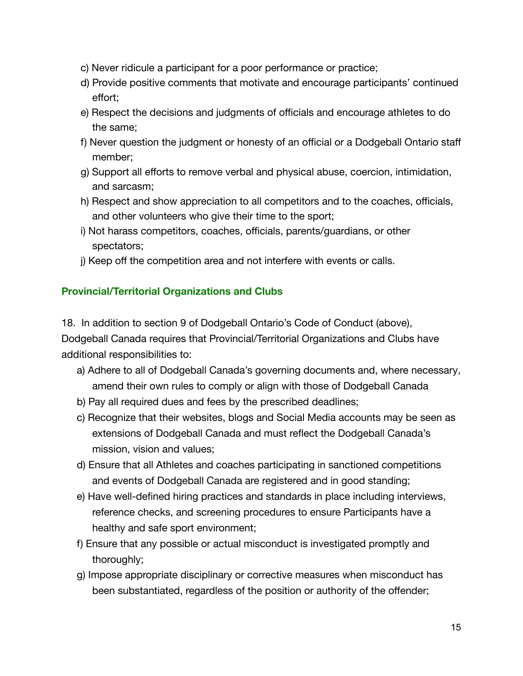- c) Never ridicule a participant for a poor performance or practice;
- d) Provide positive comments that motivate and encourage participants' continued effort;
- e) Respect the decisions and judgments of officials and encourage athletes to do the same;
- f) Never question the judgment or honesty of an official or a Dodgeball Ontario staff member;
- g) Support all efforts to remove verbal and physical abuse, coercion, intimidation, and sarcasm;
- h) Respect and show appreciation to all competitors and to the coaches, officials, and other volunteers who give their time to the sport;
- i) Not harass competitors, coaches, officials, parents/guardians, or other spectators;
- j) Keep off the competition area and not interfere with events or calls.

# **Provincial/Territorial Organizations and Clubs**

18. In addition to section 9 of Dodgeball Ontario's Code of Conduct (above), Dodgeball Canada requires that Provincial/Territorial Organizations and Clubs have additional responsibilities to:

- a) Adhere to all of Dodgeball Canada's governing documents and, where necessary, amend their own rules to comply or align with those of Dodgeball Canada
- b) Pay all required dues and fees by the prescribed deadlines;
- c) Recognize that their websites, blogs and Social Media accounts may be seen as extensions of Dodgeball Canada and must reflect the Dodgeball Canada's mission, vision and values;
- d) Ensure that all Athletes and coaches participating in sanctioned competitions and events of Dodgeball Canada are registered and in good standing;
- e) Have well-defined hiring practices and standards in place including interviews, reference checks, and screening procedures to ensure Participants have a healthy and safe sport environment;
- f) Ensure that any possible or actual misconduct is investigated promptly and thoroughly;
- g) Impose appropriate disciplinary or corrective measures when misconduct has been substantiated, regardless of the position or authority of the offender;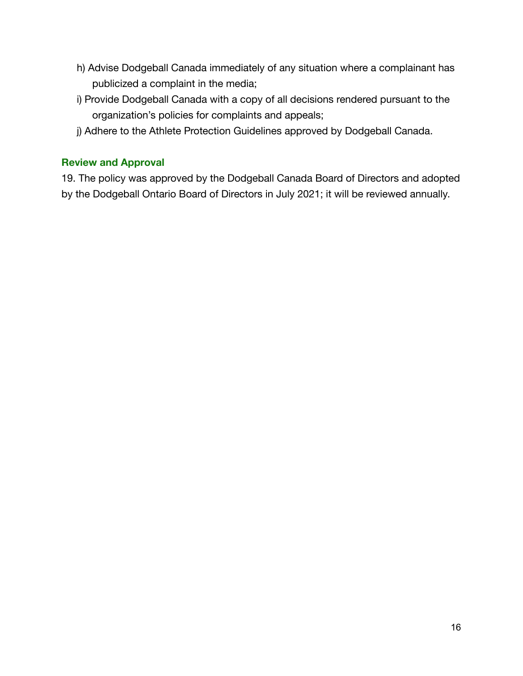- h) Advise Dodgeball Canada immediately of any situation where a complainant has publicized a complaint in the media;
- i) Provide Dodgeball Canada with a copy of all decisions rendered pursuant to the organization's policies for complaints and appeals;
- j) Adhere to the Athlete Protection Guidelines approved by Dodgeball Canada.

## **Review and Approval**

19. The policy was approved by the Dodgeball Canada Board of Directors and adopted by the Dodgeball Ontario Board of Directors in July 2021; it will be reviewed annually.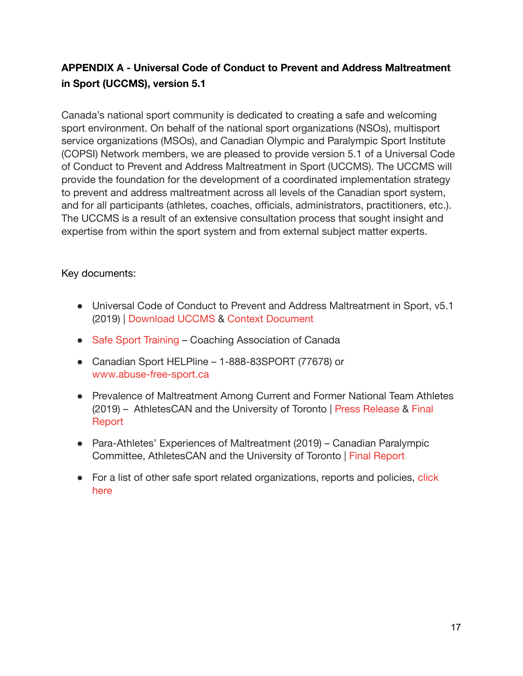# **APPENDIX A - Universal Code of Conduct to Prevent and Address Maltreatment in Sport (UCCMS), version 5.1**

Canada's national sport community is dedicated to creating a safe and welcoming sport environment. On behalf of the national sport organizations (NSOs), multisport service organizations (MSOs), and Canadian Olympic and Paralympic Sport Institute (COPSI) Network members, we are pleased to provide version 5.1 of a Universal Code of Conduct to Prevent and Address Maltreatment in Sport (UCCMS). The UCCMS will provide the foundation for the development of a coordinated implementation strategy to prevent and address maltreatment across all levels of the Canadian sport system, and for all participants (athletes, coaches, officials, administrators, practitioners, etc.). The UCCMS is a result of an extensive consultation process that sought insight and expertise from within the sport system and from external subject matter experts.

#### Key documents:

- Universal Code of Conduct to Prevent and Address Maltreatment in Sport, v5.1 (2019) | [Download UCCMS](https://sirc.ca/wp-content/uploads/2020/01/UCCMS-v5.1-FINAL-Eng.pdf) & [Context Document](https://sirc.ca/wp-content/uploads/2020/01/UCCMS-v5.1-Distribution-to-NSOs-MSOs-FINAL.pdf)
- [Safe Sport Training](https://safesport.coach.ca/) Coaching Association of Canada
- Canadian Sport HELPline 1-888-83SPORT (77678) or [www.abuse-free-sport.ca](http://www.abuse-free-sport.ca/)
- Prevalence of Maltreatment Among Current and Former National Team Athletes (2019) – AthletesCAN and the University of Toronto | [Press Release](https://athletescan.com/en/more-1000-top-canadian-athletes-inform-prevalence-study-maltreatment-sport) & [Final](https://athletescan.com/sites/default/files/images/prevalence_of_maltreatment_reporteng.pdf) **[Report](https://athletescan.com/sites/default/files/images/prevalence_of_maltreatment_reporteng.pdf)**
- Para-Athletes' Experiences of Maltreatment (2019) Canadian Paralympic Committee, AthletesCAN and the University of Toronto | [Final Report](https://sirc.ca/wp-content/uploads/2020/02/Report-of-Para-Athletes-Experiences-of-Maltreatment_Oct21_2019.pdf)
- For a list of other safe sport related organizations, reports and policies, [click](https://sirc.ca/safe-sport/universal-code-of-conduct-to-prevent-and-address-maltreatment-in-sport-uccms-version-5-1/safe-sport-reference-documents/) [here](https://sirc.ca/safe-sport/universal-code-of-conduct-to-prevent-and-address-maltreatment-in-sport-uccms-version-5-1/safe-sport-reference-documents/)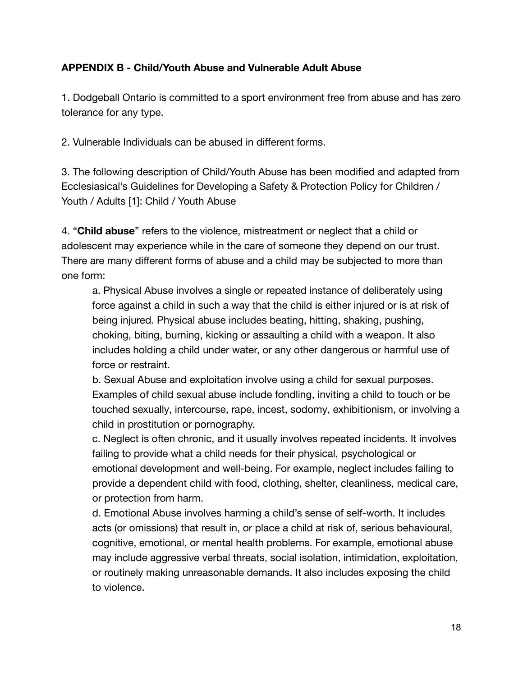# **APPENDIX B - Child/Youth Abuse and Vulnerable Adult Abuse**

1. Dodgeball Ontario is committed to a sport environment free from abuse and has zero tolerance for any type.

2. Vulnerable Individuals can be abused in different forms.

3. The following description of Child/Youth Abuse has been modified and adapted from Ecclesiasical's Guidelines for Developing a Safety & Protection Policy for Children / Youth / Adults [1]: Child / Youth Abuse

4. "**Child abuse**" refers to the violence, mistreatment or neglect that a child or adolescent may experience while in the care of someone they depend on our trust. There are many different forms of abuse and a child may be subjected to more than one form:

a. Physical Abuse involves a single or repeated instance of deliberately using force against a child in such a way that the child is either injured or is at risk of being injured. Physical abuse includes beating, hitting, shaking, pushing, choking, biting, burning, kicking or assaulting a child with a weapon. It also includes holding a child under water, or any other dangerous or harmful use of force or restraint.

b. Sexual Abuse and exploitation involve using a child for sexual purposes. Examples of child sexual abuse include fondling, inviting a child to touch or be touched sexually, intercourse, rape, incest, sodomy, exhibitionism, or involving a child in prostitution or pornography.

c. Neglect is often chronic, and it usually involves repeated incidents. It involves failing to provide what a child needs for their physical, psychological or emotional development and well-being. For example, neglect includes failing to provide a dependent child with food, clothing, shelter, cleanliness, medical care, or protection from harm.

d. Emotional Abuse involves harming a child's sense of self-worth. It includes acts (or omissions) that result in, or place a child at risk of, serious behavioural, cognitive, emotional, or mental health problems. For example, emotional abuse may include aggressive verbal threats, social isolation, intimidation, exploitation, or routinely making unreasonable demands. It also includes exposing the child to violence.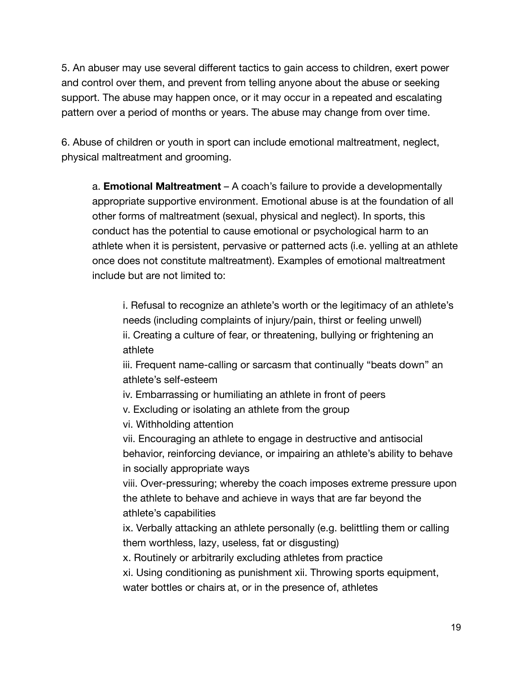5. An abuser may use several different tactics to gain access to children, exert power and control over them, and prevent from telling anyone about the abuse or seeking support. The abuse may happen once, or it may occur in a repeated and escalating pattern over a period of months or years. The abuse may change from over time.

6. Abuse of children or youth in sport can include emotional maltreatment, neglect, physical maltreatment and grooming.

a. **Emotional Maltreatment** – A coach's failure to provide a developmentally appropriate supportive environment. Emotional abuse is at the foundation of all other forms of maltreatment (sexual, physical and neglect). In sports, this conduct has the potential to cause emotional or psychological harm to an athlete when it is persistent, pervasive or patterned acts (i.e. yelling at an athlete once does not constitute maltreatment). Examples of emotional maltreatment include but are not limited to:

i. Refusal to recognize an athlete's worth or the legitimacy of an athlete's needs (including complaints of injury/pain, thirst or feeling unwell) ii. Creating a culture of fear, or threatening, bullying or frightening an athlete

iii. Frequent name-calling or sarcasm that continually "beats down" an athlete's self-esteem

iv. Embarrassing or humiliating an athlete in front of peers

v. Excluding or isolating an athlete from the group

vi. Withholding attention

vii. Encouraging an athlete to engage in destructive and antisocial behavior, reinforcing deviance, or impairing an athlete's ability to behave in socially appropriate ways

viii. Over-pressuring; whereby the coach imposes extreme pressure upon the athlete to behave and achieve in ways that are far beyond the athlete's capabilities

ix. Verbally attacking an athlete personally (e.g. belittling them or calling them worthless, lazy, useless, fat or disgusting)

x. Routinely or arbitrarily excluding athletes from practice

xi. Using conditioning as punishment xii. Throwing sports equipment, water bottles or chairs at, or in the presence of, athletes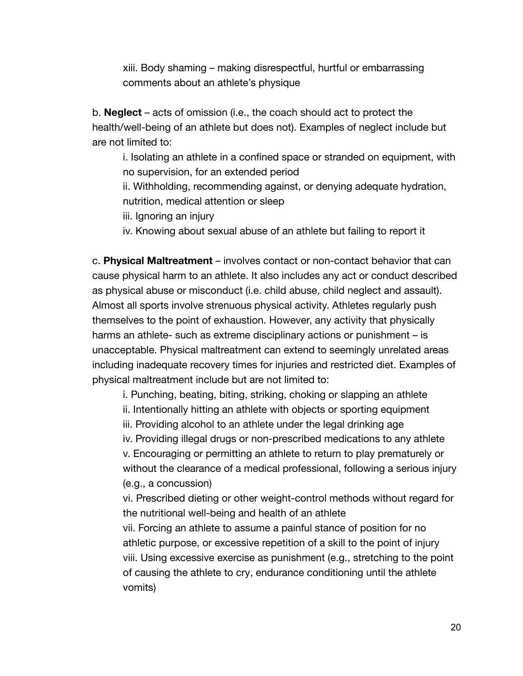xiii. Body shaming – making disrespectful, hurtful or embarrassing comments about an athlete's physique

b. **Neglect** – acts of omission (i.e., the coach should act to protect the health/well-being of an athlete but does not). Examples of neglect include but are not limited to:

i. Isolating an athlete in a confined space or stranded on equipment, with no supervision, for an extended period

ii. Withholding, recommending against, or denying adequate hydration, nutrition, medical attention or sleep

iii. Ignoring an injury

iv. Knowing about sexual abuse of an athlete but failing to report it

c. **Physical Maltreatment** – involves contact or non-contact behavior that can cause physical harm to an athlete. It also includes any act or conduct described as physical abuse or misconduct (i.e. child abuse, child neglect and assault). Almost all sports involve strenuous physical activity. Athletes regularly push themselves to the point of exhaustion. However, any activity that physically harms an athlete- such as extreme disciplinary actions or punishment – is unacceptable. Physical maltreatment can extend to seemingly unrelated areas including inadequate recovery times for injuries and restricted diet. Examples of physical maltreatment include but are not limited to:

i. Punching, beating, biting, striking, choking or slapping an athlete ii. Intentionally hitting an athlete with objects or sporting equipment iii. Providing alcohol to an athlete under the legal drinking age iv. Providing illegal drugs or non-prescribed medications to any athlete v. Encouraging or permitting an athlete to return to play prematurely or without the clearance of a medical professional, following a serious injury (e.g., a concussion)

vi. Prescribed dieting or other weight-control methods without regard for the nutritional well-being and health of an athlete

vii. Forcing an athlete to assume a painful stance of position for no athletic purpose, or excessive repetition of a skill to the point of injury viii. Using excessive exercise as punishment (e.g., stretching to the point of causing the athlete to cry, endurance conditioning until the athlete vomits)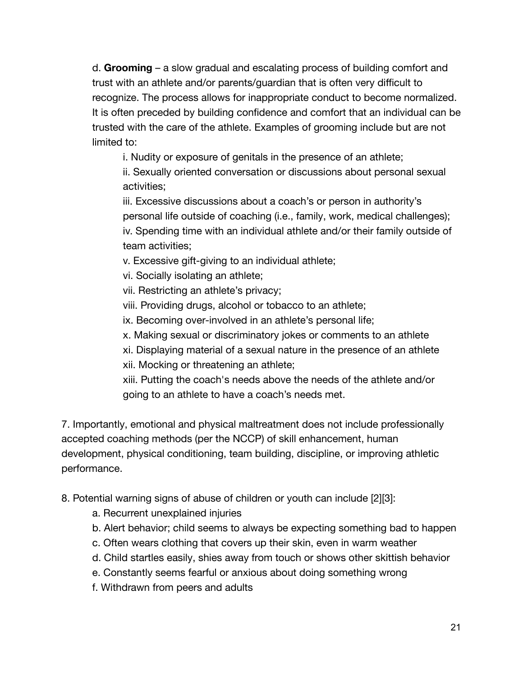d. **Grooming** – a slow gradual and escalating process of building comfort and trust with an athlete and/or parents/guardian that is often very difficult to recognize. The process allows for inappropriate conduct to become normalized. It is often preceded by building confidence and comfort that an individual can be trusted with the care of the athlete. Examples of grooming include but are not limited to:

i. Nudity or exposure of genitals in the presence of an athlete;

ii. Sexually oriented conversation or discussions about personal sexual activities;

iii. Excessive discussions about a coach's or person in authority's personal life outside of coaching (i.e., family, work, medical challenges); iv. Spending time with an individual athlete and/or their family outside of team activities;

v. Excessive gift-giving to an individual athlete;

vi. Socially isolating an athlete;

vii. Restricting an athlete's privacy;

viii. Providing drugs, alcohol or tobacco to an athlete;

ix. Becoming over-involved in an athlete's personal life;

x. Making sexual or discriminatory jokes or comments to an athlete

xi. Displaying material of a sexual nature in the presence of an athlete xii. Mocking or threatening an athlete;

xiii. Putting the coach's needs above the needs of the athlete and/or going to an athlete to have a coach's needs met.

7. Importantly, emotional and physical maltreatment does not include professionally accepted coaching methods (per the NCCP) of skill enhancement, human development, physical conditioning, team building, discipline, or improving athletic performance.

8. Potential warning signs of abuse of children or youth can include [2][3]:

- a. Recurrent unexplained injuries
- b. Alert behavior; child seems to always be expecting something bad to happen
- c. Often wears clothing that covers up their skin, even in warm weather
- d. Child startles easily, shies away from touch or shows other skittish behavior
- e. Constantly seems fearful or anxious about doing something wrong
- f. Withdrawn from peers and adults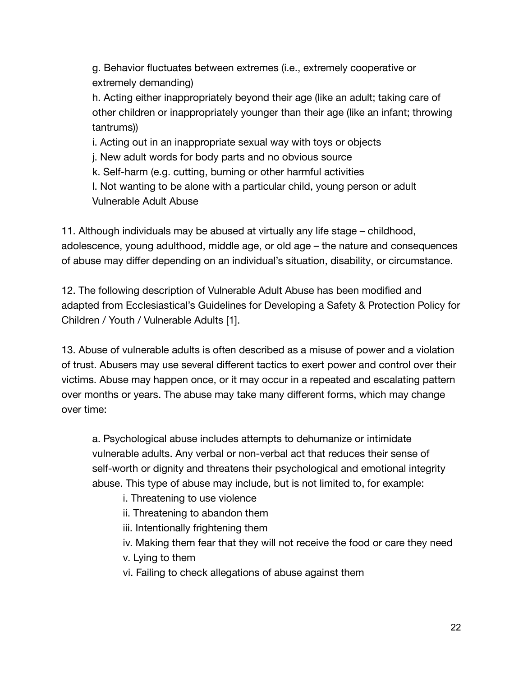g. Behavior fluctuates between extremes (i.e., extremely cooperative or extremely demanding)

h. Acting either inappropriately beyond their age (like an adult; taking care of other children or inappropriately younger than their age (like an infant; throwing tantrums))

i. Acting out in an inappropriate sexual way with toys or objects

j. New adult words for body parts and no obvious source

k. Self-harm (e.g. cutting, burning or other harmful activities

l. Not wanting to be alone with a particular child, young person or adult Vulnerable Adult Abuse

11. Although individuals may be abused at virtually any life stage – childhood, adolescence, young adulthood, middle age, or old age – the nature and consequences of abuse may differ depending on an individual's situation, disability, or circumstance.

12. The following description of Vulnerable Adult Abuse has been modified and adapted from Ecclesiastical's Guidelines for Developing a Safety & Protection Policy for Children / Youth / Vulnerable Adults [1].

13. Abuse of vulnerable adults is often described as a misuse of power and a violation of trust. Abusers may use several different tactics to exert power and control over their victims. Abuse may happen once, or it may occur in a repeated and escalating pattern over months or years. The abuse may take many different forms, which may change over time:

a. Psychological abuse includes attempts to dehumanize or intimidate vulnerable adults. Any verbal or non-verbal act that reduces their sense of self-worth or dignity and threatens their psychological and emotional integrity abuse. This type of abuse may include, but is not limited to, for example:

i. Threatening to use violence

ii. Threatening to abandon them

iii. Intentionally frightening them

iv. Making them fear that they will not receive the food or care they need

v. Lying to them

vi. Failing to check allegations of abuse against them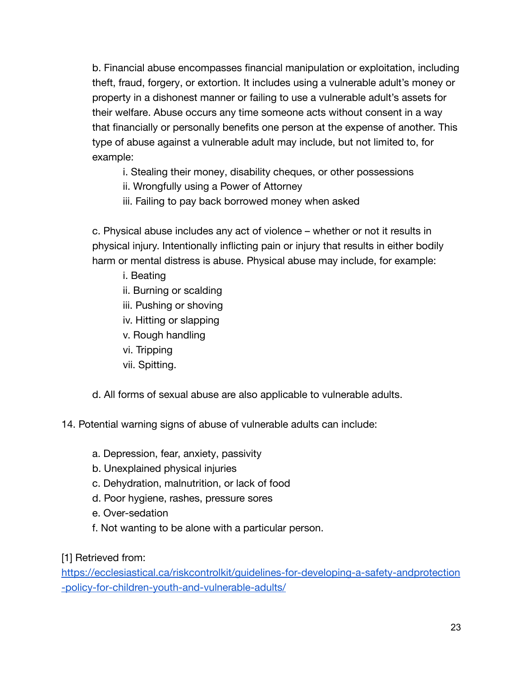b. Financial abuse encompasses financial manipulation or exploitation, including theft, fraud, forgery, or extortion. It includes using a vulnerable adult's money or property in a dishonest manner or failing to use a vulnerable adult's assets for their welfare. Abuse occurs any time someone acts without consent in a way that financially or personally benefits one person at the expense of another. This type of abuse against a vulnerable adult may include, but not limited to, for example:

i. Stealing their money, disability cheques, or other possessions

ii. Wrongfully using a Power of Attorney

iii. Failing to pay back borrowed money when asked

c. Physical abuse includes any act of violence – whether or not it results in physical injury. Intentionally inflicting pain or injury that results in either bodily harm or mental distress is abuse. Physical abuse may include, for example:

- i. Beating
- ii. Burning or scalding
- iii. Pushing or shoving
- iv. Hitting or slapping
- v. Rough handling
- vi. Tripping
- vii. Spitting.

d. All forms of sexual abuse are also applicable to vulnerable adults.

14. Potential warning signs of abuse of vulnerable adults can include:

- a. Depression, fear, anxiety, passivity
- b. Unexplained physical injuries
- c. Dehydration, malnutrition, or lack of food
- d. Poor hygiene, rashes, pressure sores
- e. Over-sedation
- f. Not wanting to be alone with a particular person.

[1] Retrieved from:

[https://ecclesiastical.ca/riskcontrolkit/guidelines-for-developing-a-safety-andprotection](https://ecclesiastical.ca/riskcontrolkit/guidelines-for-developing-a-safety-andprotection-policy-for-children-youth-and-vulnerable-adults/) [-policy-for-children-youth-and-vulnerable-adults/](https://ecclesiastical.ca/riskcontrolkit/guidelines-for-developing-a-safety-andprotection-policy-for-children-youth-and-vulnerable-adults/)